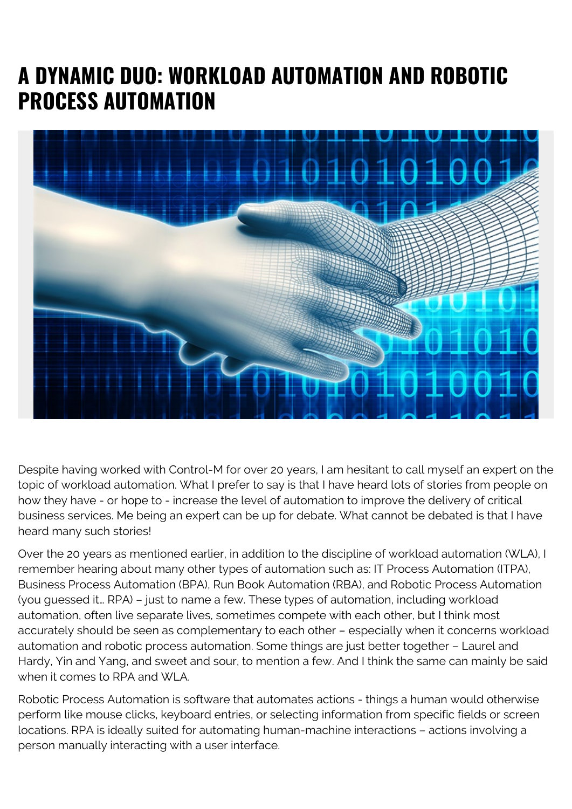## **A DYNAMIC DUO: WORKLOAD AUTOMATION AND ROBOTIC PROCESS AUTOMATION**



Despite having worked with Control-M for over 20 years, I am hesitant to call myself an expert on the topic of workload automation. What I prefer to say is that I have heard lots of stories from people on how they have - or hope to - increase the level of automation to improve the delivery of critical business services. Me being an expert can be up for debate. What cannot be debated is that I have heard many such stories!

Over the 20 years as mentioned earlier, in addition to the discipline of workload automation (WLA), I remember hearing about many other types of automation such as: IT Process Automation (ITPA), Business Process Automation (BPA), Run Book Automation (RBA), and Robotic Process Automation (you guessed it… RPA) – just to name a few. These types of automation, including workload automation, often live separate lives, sometimes compete with each other, but I think most accurately should be seen as complementary to each other – especially when it concerns workload automation and robotic process automation. Some things are just better together – Laurel and Hardy, Yin and Yang, and sweet and sour, to mention a few. And I think the same can mainly be said when it comes to RPA and WLA.

Robotic Process Automation is software that automates actions - things a human would otherwise perform like mouse clicks, keyboard entries, or selecting information from specific fields or screen locations. RPA is ideally suited for automating human-machine interactions – actions involving a person manually interacting with a user interface.